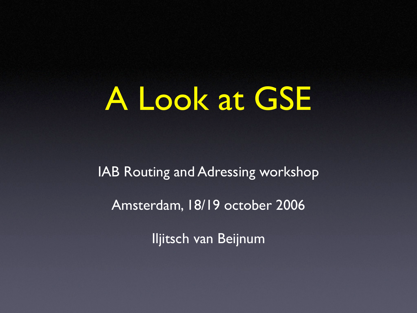#### A Look at GSE

IAB Routing and Adressing workshop Amsterdam, 18/19 october 2006

Iljitsch van Beijnum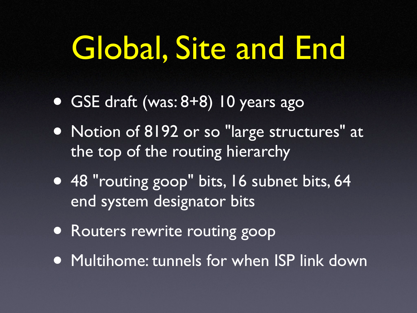## Global, Site and End

- GSE draft (was: 8+8) 10 years ago
- Notion of 8192 or so "large structures" at the top of the routing hierarchy
- 48 "routing goop" bits, 16 subnet bits, 64 end system designator bits
- Routers rewrite routing goop
- Multihome: tunnels for when ISP link down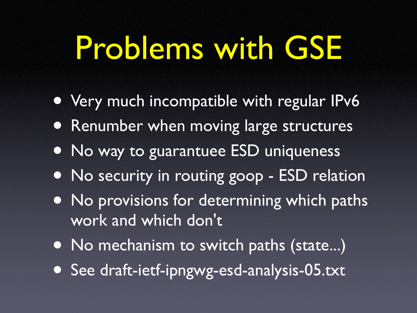## Problems with GSE

- Very much incompatible with regular IPv6
- Renumber when moving large structures
- No way to guarantuee ESD uniqueness
- No security in routing goop ESD relation
- No provisions for determining which paths work and which don't
- No mechanism to switch paths (state...)
- See draft-ietf-ipngwg-esd-analysis-05.txt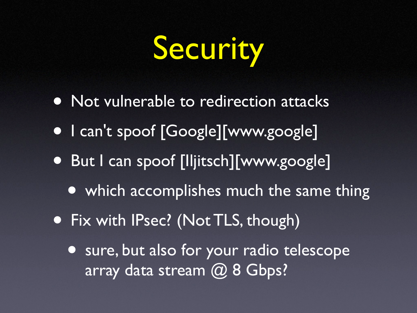## Security

- Not vulnerable to redirection attacks
- I can't spoof [Google][www.google]
- But I can spoof [Iljitsch][www.google]
	- which accomplishes much the same thing
- Fix with IPsec? (Not TLS, though)
	- sure, but also for your radio telescope array data stream @ 8 Gbps?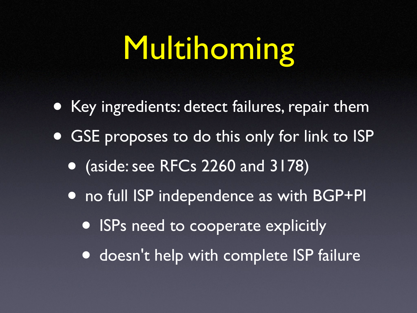# Multihoming

- Key ingredients: detect failures, repair them
- GSE proposes to do this only for link to ISP
	- (aside: see RFCs 2260 and 3178)
	- no full ISP independence as with BGP+PI
		- ISPs need to cooperate explicitly
		- doesn't help with complete ISP failure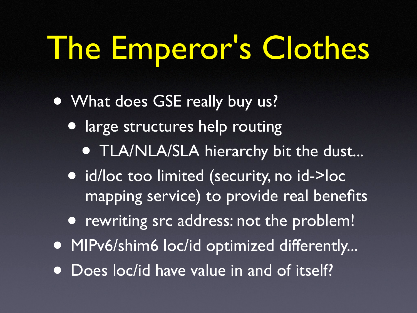# The Emperor's Clothes

- What does GSE really buy us?
	- large structures help routing **• TLA/NLA/SLA hierarchy bit the dust...**
	- id/loc too limited (security, no id->loc mapping service) to provide real benefits
	- rewriting src address: not the problem!
- MIPv6/shim6 loc/id optimized differently...
- Does loc/id have value in and of itself?